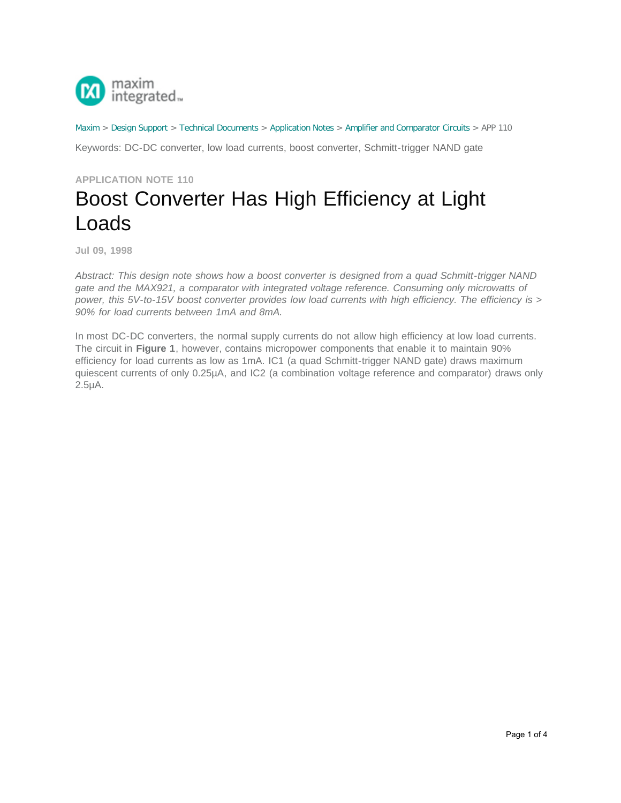

[Maxim](http://www.maximintegrated.com/) > [Design Support](http://www.maximintegrated.com/design/) > [Technical Documents](http://www.maximintegrated.com/design/techdocs/) > [Application Notes](http://www.maximintegrated.com/design/techdocs/app-notes/index.mvp) > [Amplifier and Comparator Circuits](http://www.maximintegrated.com/design/techdocs/app-notes/index.mvp/id/3/c/Amplifier%20and%20Comparator%20Circuits#c3) > APP 110

Keywords: DC-DC converter, low load currents, boost converter, Schmitt-trigger NAND gate

## **APPLICATION NOTE 110** Boost Converter Has High Efficiency at Light Loads

**Jul 09, 1998**

*Abstract: This design note shows how a boost converter is designed from a quad Schmitt-trigger NAND gate and the MAX921, a comparator with integrated voltage reference. Consuming only microwatts of power, this 5V-to-15V boost converter provides low load currents with high efficiency. The efficiency is > 90% for load currents between 1mA and 8mA.*

In most DC-DC converters, the normal supply currents do not allow high efficiency at low load currents. The circuit in **Figure 1**, however, contains micropower components that enable it to maintain 90% efficiency for load currents as low as 1mA. IC1 (a quad Schmitt-trigger NAND gate) draws maximum quiescent currents of only 0.25µA, and IC2 (a combination voltage reference and comparator) draws only 2.5µA.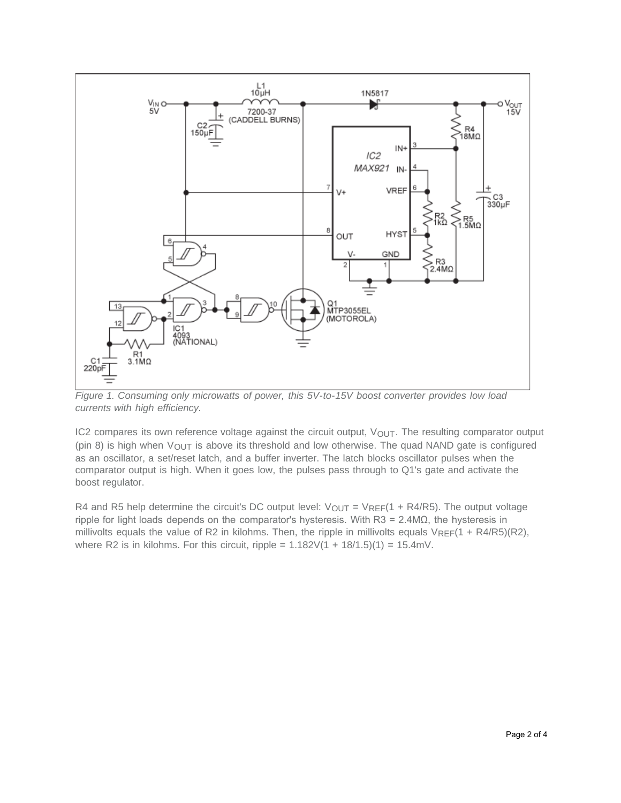

*Figure 1. Consuming only microwatts of power, this 5V-to-15V boost converter provides low load currents with high efficiency.* 

IC2 compares its own reference voltage against the circuit output,  $V_{OUT}$ . The resulting comparator output (pin 8) is high when  $V_{\text{OUT}}$  is above its threshold and low otherwise. The quad NAND gate is configured as an oscillator, a set/reset latch, and a buffer inverter. The latch blocks oscillator pulses when the comparator output is high. When it goes low, the pulses pass through to Q1's gate and activate the boost regulator.

R4 and R5 help determine the circuit's DC output level:  $V_{OUT} = V_{REF}(1 + R4/R5)$ . The output voltage ripple for light loads depends on the comparator's hysteresis. With  $R3 = 2.4 MΩ$ , the hysteresis in millivolts equals the value of R2 in kilohms. Then, the ripple in millivolts equals  $V_{REF}(1 + R4/R5)(R2)$ , where R2 is in kilohms. For this circuit, ripple =  $1.182V(1 + 18/1.5)(1) = 15.4mV$ .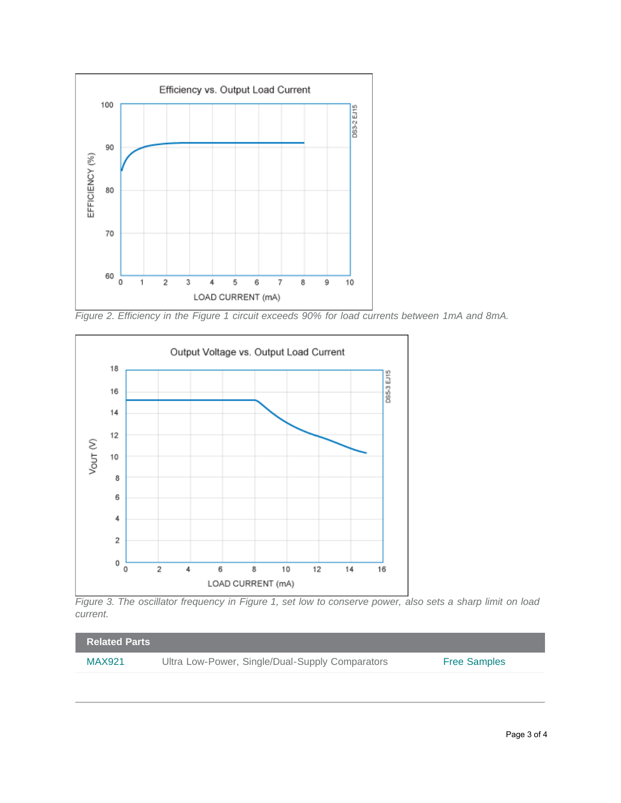

*Figure 2. Efficiency in the Figure 1 circuit exceeds 90% for load currents between 1mA and 8mA.* 



*Figure 3. The oscillator frequency in Figure 1, set low to conserve power, also sets a sharp limit on load current.* 

| <b>Related Parts</b> |                                                 |                     |
|----------------------|-------------------------------------------------|---------------------|
| MAX921               | Ultra Low-Power, Single/Dual-Supply Comparators | <b>Free Samples</b> |
|                      |                                                 |                     |